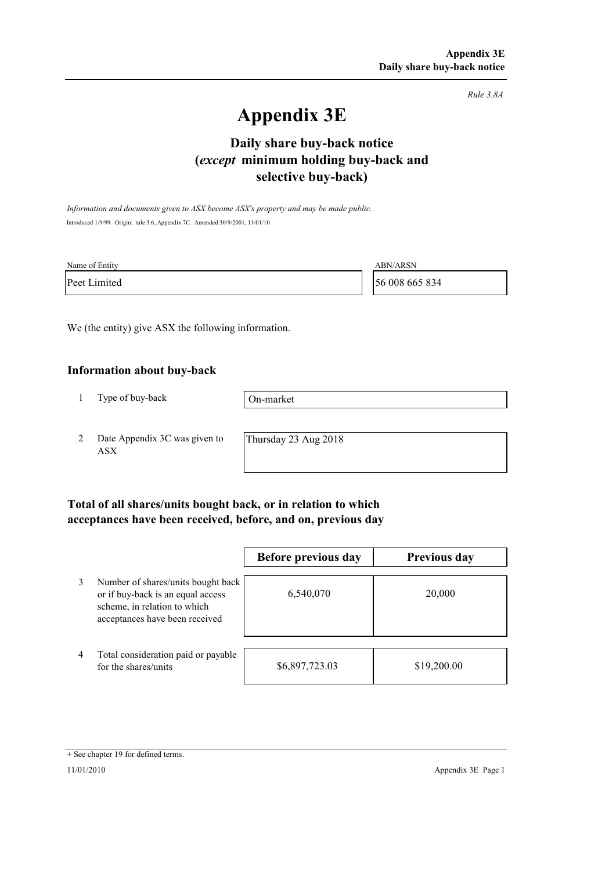*Rule 3.8A*

# **Appendix 3E**

## **selective buy-back) Daily share buy-back notice (***except* **minimum holding buy-back and**

*Information and documents given to ASX become ASX's property and may be made public.* Introduced 1/9/99. Origin: rule 3.6, Appendix 7C. Amended 30/9/2001, 11/01/10

| Name of Entity | <b>ABN/ARSN</b> |
|----------------|-----------------|
| Peet Limited   | 56 008 665 834  |

We (the entity) give ASX the following information.

#### **Information about buy-back**

1 Type of buy-back

On-market

2 Date Appendix 3C was given to ASX

Thursday 23 Aug 2018

### **Total of all shares/units bought back, or in relation to which acceptances have been received, before, and on, previous day**

|   |                                                                                                                                           | Before previous day | <b>Previous day</b> |
|---|-------------------------------------------------------------------------------------------------------------------------------------------|---------------------|---------------------|
| 3 | Number of shares/units bought back<br>or if buy-back is an equal access<br>scheme, in relation to which<br>acceptances have been received | 6,540,070           | 20,000              |
| 4 | Total consideration paid or payable<br>for the shares/units                                                                               | \$6,897,723.03      | \$19,200.00         |

<sup>+</sup> See chapter 19 for defined terms.